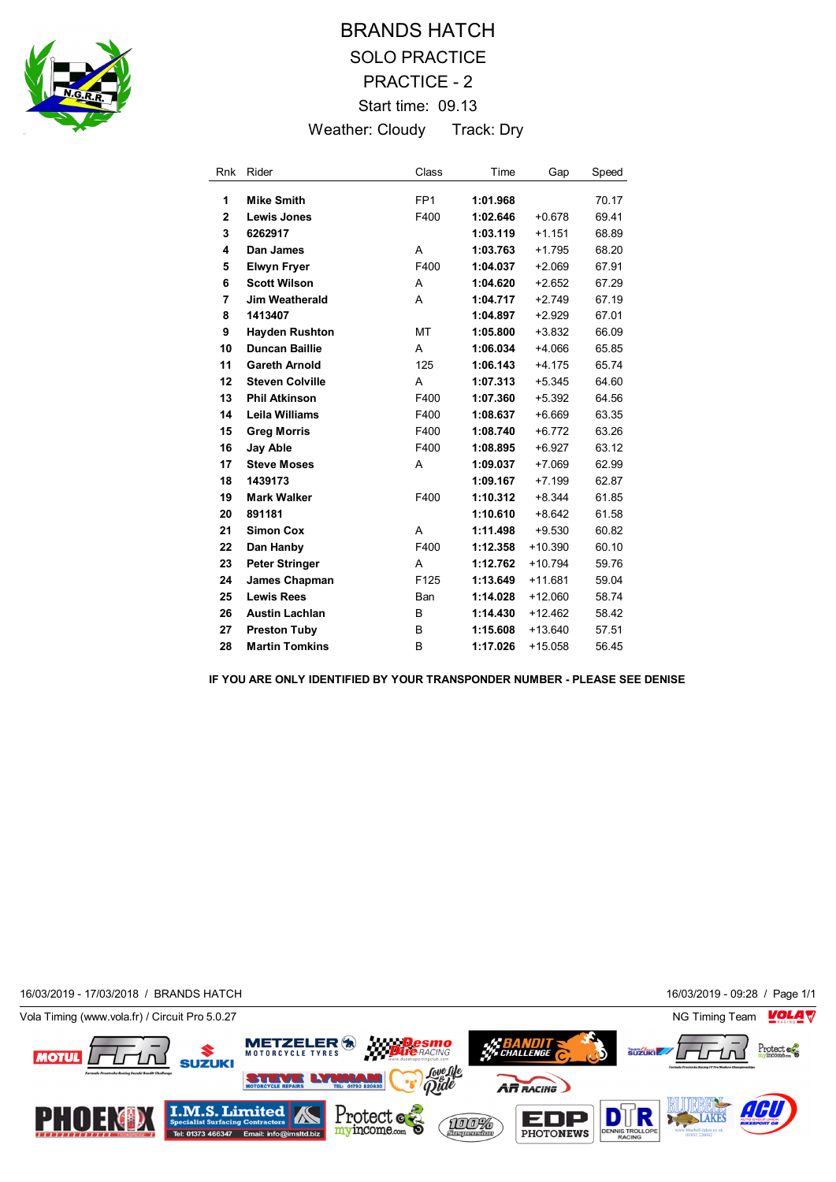

## BRANDS HATCH SOLO PRACTICE PRACTICE - 2 Start time: 09.13 Weather: Cloudy Track: Dry

| <b>Rnk</b>     | Rider                  | Class           | Time     | Gap       | Speed |
|----------------|------------------------|-----------------|----------|-----------|-------|
| 1              | <b>Mike Smith</b>      | FP <sub>1</sub> | 1:01.968 |           | 70.17 |
| $\overline{2}$ | <b>Lewis Jones</b>     | F400            | 1:02.646 | $+0.678$  | 69.41 |
| 3              | 6262917                |                 | 1:03.119 | $+1.151$  | 68.89 |
| 4              | Dan James              | A               | 1:03.763 | $+1.795$  | 68.20 |
| 5              | <b>Elwyn Fryer</b>     | F400            | 1:04.037 | $+2.069$  | 67.91 |
| 6              | <b>Scott Wilson</b>    | A               | 1:04.620 | $+2.652$  | 67.29 |
| 7              | <b>Jim Weatherald</b>  | A               | 1:04.717 | $+2.749$  | 67.19 |
| 8              | 1413407                |                 | 1:04.897 | $+2.929$  | 67.01 |
| 9              | <b>Hayden Rushton</b>  | MT              | 1:05.800 | $+3.832$  | 66.09 |
| 10             | <b>Duncan Baillie</b>  | A               | 1:06.034 | $+4.066$  | 65.85 |
| 11             | <b>Gareth Arnold</b>   | 125             | 1:06.143 | $+4.175$  | 65.74 |
| 12             | <b>Steven Colville</b> | A               | 1:07.313 | $+5.345$  | 64.60 |
| 13             | <b>Phil Atkinson</b>   | F400            | 1:07.360 | $+5.392$  | 64.56 |
| 14             | <b>Leila Williams</b>  | F400            | 1:08.637 | $+6.669$  | 63.35 |
| 15             | <b>Greg Morris</b>     | F400            | 1:08.740 | $+6.772$  | 63.26 |
| 16             | Jay Able               | F400            | 1:08.895 | $+6.927$  | 63.12 |
| 17             | <b>Steve Moses</b>     | A               | 1:09.037 | $+7.069$  | 62.99 |
| 18             | 1439173                |                 | 1:09.167 | $+7.199$  | 62.87 |
| 19             | <b>Mark Walker</b>     | F400            | 1:10.312 | $+8.344$  | 61.85 |
| 20             | 891181                 |                 | 1:10.610 | $+8.642$  | 61.58 |
| 21             | <b>Simon Cox</b>       | A               | 1:11.498 | $+9.530$  | 60.82 |
| 22             | Dan Hanby              | F400            | 1:12.358 | $+10.390$ | 60.10 |
| 23             | <b>Peter Stringer</b>  | A               | 1:12.762 | $+10.794$ | 59.76 |
| 24             | James Chapman          | F125            | 1:13.649 | $+11.681$ | 59.04 |
| 25             | <b>Lewis Rees</b>      | Ban             | 1:14.028 | $+12.060$ | 58.74 |
| 26             | <b>Austin Lachlan</b>  | B               | 1:14.430 | $+12.462$ | 58.42 |
| 27             | <b>Preston Tuby</b>    | B               | 1:15.608 | $+13.640$ | 57.51 |
| 28             | <b>Martin Tomkins</b>  | В               | 1:17.026 | $+15.058$ | 56.45 |

**IF YOU ARE ONLY IDENTIFIED BY YOUR TRANSPONDER NUMBER - PLEASE SEE DENISE**

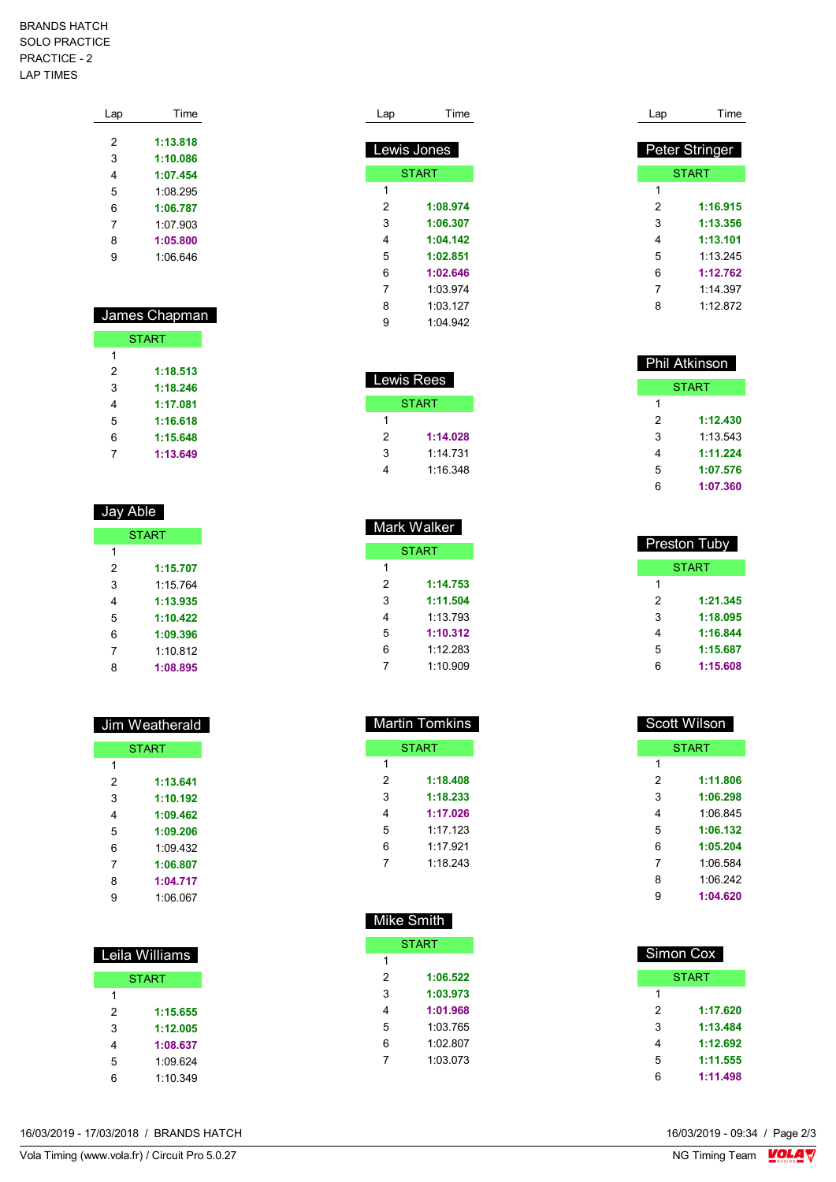## BRANDS HATCH SOLO PRACTICE PRACTICE - 2 LAP TIMES

| Lap | Time     |
|-----|----------|
|     |          |
| 2   | 1:13.818 |
| 3   | 1:10.086 |
| 4   | 1:07.454 |
| 5   | 1:08.295 |
| 6   | 1:06.787 |
| 7   | 1:07.903 |
| 8   | 1:05.800 |
| 9   | 1:06.646 |
|     |          |

## James Chapman **START**

| 1 |          |
|---|----------|
| 2 | 1:18.513 |
| 3 | 1:18.246 |
| 4 | 1:17.081 |
| 5 | 1:16.618 |
| 6 | 1:15.648 |
|   | 1:13.649 |

| Jay Able     |          |  |  |
|--------------|----------|--|--|
| <b>START</b> |          |  |  |
| 1            |          |  |  |
| 2            | 1:15.707 |  |  |
| 3            | 1:15.764 |  |  |
| 4            | 1:13.935 |  |  |
| 5            | 1:10.422 |  |  |
| 6            | 1:09.396 |  |  |
| 7            | 1:10.812 |  |  |
| 8            | 1:08.895 |  |  |

| Jim Weatherald |          |  |  |
|----------------|----------|--|--|
| <b>START</b>   |          |  |  |
| 1              |          |  |  |
| 2              | 1:13.641 |  |  |
| 3              | 1:10.192 |  |  |
| 4              | 1:09.462 |  |  |
| 5              | 1:09.206 |  |  |
| 6              | 1:09.432 |  |  |
| 7              | 1:06.807 |  |  |
| 8              | 1:04.717 |  |  |
| g              | 1:06.067 |  |  |

| Leila Williams |          |  |  |
|----------------|----------|--|--|
| <b>START</b>   |          |  |  |
| 1              |          |  |  |
| 2              | 1:15.655 |  |  |
| 3              | 1:12.005 |  |  |
| 4              | 1:08.637 |  |  |
| 5              | 1:09.624 |  |  |
| հ              | 1:10.349 |  |  |

| Lap                | Time         |  |  |
|--------------------|--------------|--|--|
| <b>Lewis Jones</b> |              |  |  |
|                    | <b>START</b> |  |  |
| 1                  |              |  |  |
| 2                  | 1:08.974     |  |  |
| 3                  | 1:06.307     |  |  |
| 4                  | 1:04.142     |  |  |
| 5                  | 1:02.851     |  |  |
| 6                  | 1:02.646     |  |  |
| 7                  | 1:03.974     |  |  |
| 8                  | 1 03 127     |  |  |
| g                  | 1 04 942     |  |  |

| Lewis Rees |          |  |  |
|------------|----------|--|--|
| START      |          |  |  |
| 1          |          |  |  |
| 2          | 1:14.028 |  |  |
| 3          | 1:14 731 |  |  |
| 4          | 1:16.348 |  |  |

| Mark Walker  |          |  |  |
|--------------|----------|--|--|
| <b>START</b> |          |  |  |
| 1            |          |  |  |
| 2            | 1:14.753 |  |  |
| 3            | 1:11.504 |  |  |
| 4            | 1:13.793 |  |  |
| 5            | 1:10.312 |  |  |
| 6            | 1:12 283 |  |  |
|              | 1:10.909 |  |  |

| <b>Martin Tomkins</b> |          |  |  |
|-----------------------|----------|--|--|
| <b>START</b>          |          |  |  |
| 1                     |          |  |  |
| 2                     | 1:18.408 |  |  |
| 3                     | 1:18.233 |  |  |
| 4                     | 1:17.026 |  |  |
| 5                     | 1.17 123 |  |  |
| 6                     | 1:17.921 |  |  |
| 7                     | 1.18243  |  |  |
|                       |          |  |  |

| Mike Smith   |          |  |  |
|--------------|----------|--|--|
| <b>START</b> |          |  |  |
| 1            |          |  |  |
| 2            | 1:06.522 |  |  |
| 3            | 1:03.973 |  |  |
| 4            | 1:01.968 |  |  |
| 5            | 1:03 765 |  |  |
| 6            | 1.02807  |  |  |
| 7            | 1:03.073 |  |  |
|              |          |  |  |

| Lap | Time           |
|-----|----------------|
|     |                |
|     | Peter Stringer |
|     | <b>START</b>   |
| 1   |                |
| 2   | 1:16.915       |
| 3   | 1:13.356       |
| 4   | 1:13.101       |
| 5   | 1:13.245       |
| 6   | 1:12.762       |
| 7   | 1:14.397       |
| 8   | 1:12.872       |

| Phil Atkinson |          |  |
|---------------|----------|--|
| START         |          |  |
| 1             |          |  |
| 2             | 1:12.430 |  |
| 3             | 1:13.543 |  |
| 4             | 1:11.224 |  |
| 5             | 1:07.576 |  |
| 6             | 1:07.360 |  |

| <b>Preston Tuby</b> |          |  |
|---------------------|----------|--|
| START               |          |  |
| 1                   |          |  |
| 2                   | 1:21.345 |  |
| 3                   | 1:18.095 |  |
| 4                   | 1:16.844 |  |
| 5                   | 1:15.687 |  |
| 6                   | 1:15.608 |  |

| <b>Scott Wilson</b> |          |  |
|---------------------|----------|--|
| <b>START</b>        |          |  |
| 1                   |          |  |
| 2                   | 1:11.806 |  |
| 3                   | 1:06.298 |  |
| 4                   | 1:06 845 |  |
| 5                   | 1:06.132 |  |
| 6                   | 1:05.204 |  |
| 7                   | 1:06.584 |  |
| 8                   | 1:06 242 |  |
| 9                   | 1:04.620 |  |
|                     |          |  |

|   | <b>Simon Cox</b> |
|---|------------------|
|   | <b>START</b>     |
| 1 |                  |
| 2 | 1:17.620         |
| 3 | 1:13.484         |
| 4 | 1:12.692         |
| 5 | 1:11.555         |
| 6 | 1:11.498         |

16/03/2019 - 17/03/2018 / BRANDS HATCH